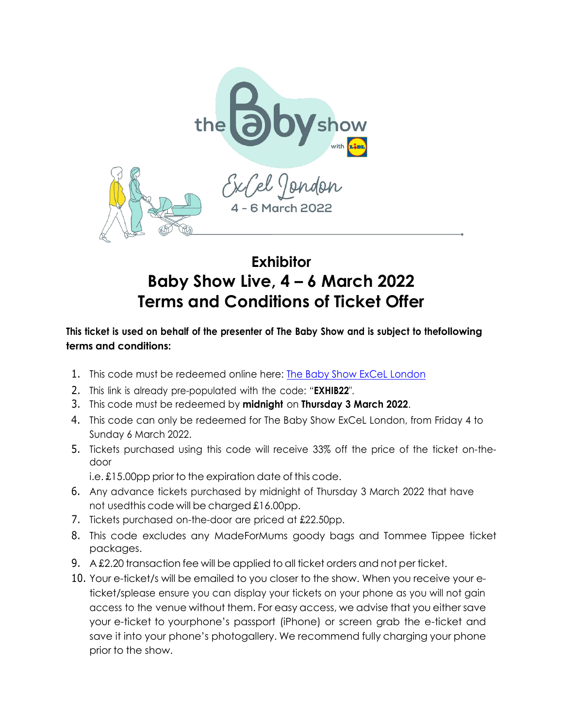

## **Exhibitor Baby Show Live, 4 – 6 March 2022 Terms and Conditions of Ticket Offer**

## **This ticket is used on behalf of the presenter of The Baby Show and is subject to thefollowing terms and conditions:**

- 1. This code must be redeemed online here: The Baby Show ExCeL [London](https://bit.ly/3EqIZXN)
- 2. This link is already pre-populated with the code: "**EXHIB22**".
- 3. This code must be redeemed by **midnight** on **Thursday 3 March 2022**.
- 4. This code can only be redeemed for The Baby Show ExCeL London, from Friday 4 to Sunday 6 March 2022.
- 5. Tickets purchased using this code will receive 33% off the price of the ticket on-thedoor

i.e. £15.00pp prior to the expiration date of this code.

- 6. Any advance tickets purchased by midnight of Thursday 3 March 2022 that have not usedthis code will be charged £16.00pp.
- 7. Tickets purchased on-the-door are priced at £22.50pp.
- 8. This code excludes any MadeForMums goody bags and Tommee Tippee ticket packages.
- 9. A £2.20 transaction fee will be applied to all ticket orders and not per ticket.
- 10. Your e-ticket/s will be emailed to you closer to the show. When you receive your eticket/splease ensure you can display your tickets on your phone as you will not gain access to the venue without them. For easy access, we advise that you either save your e-ticket to yourphone's passport (iPhone) or screen grab the e-ticket and save it into your phone's photogallery. We recommend fully charging your phone prior to the show.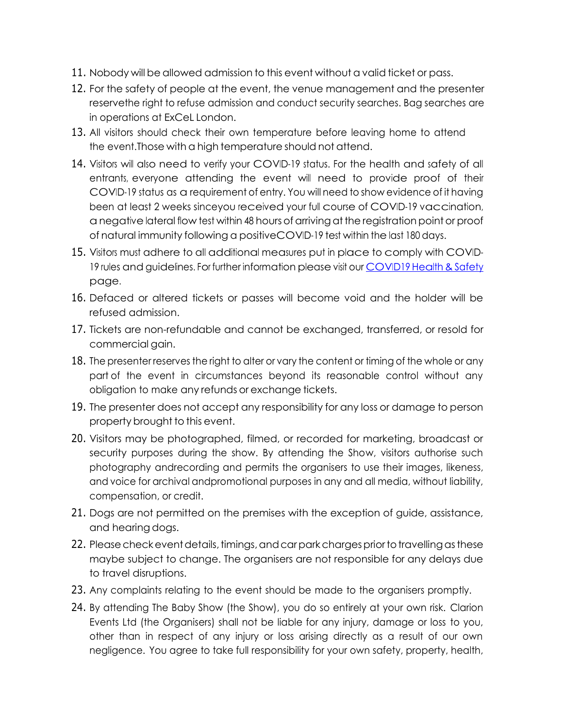- 11. Nobody will be allowed admission to this event without a valid ticket or pass.
- 12. For the safety of people at the event, the venue management and the presenter reservethe right to refuse admission and conduct security searches. Bag searches are in operations at ExCeL London.
- 13. All visitors should check their own temperature before leaving home to attend the event.Those with a high temperature should not attend.
- 14. Visitors will also need to verify your COVID-19 status. For the health and safety of all entrants, everyone attending the event will need to provide proof of their COVID-19 status as a requirement of entry. You will need to show evidence of it having been at least 2 weeks sinceyou received your full course of COVID-19 vaccination, anegative lateral flow test within 48 hours of arrivingatthe registrationpoint or proof of natural immunity following a positiveCOVID-19 test within the last 180 days.
- 15. Visitors must adhere to all additional measures put in place to comply with COVID-19 rules and guidelines. For further information please visit our [COVID19](https://www.thebabyshow.co.uk/excel/covid-19-health-safety) Health & Safety page.
- 16. Defaced or altered tickets or passes will become void and the holder will be refused admission.
- 17. Tickets are non-refundable and cannot be exchanged, transferred, or resold for commercial gain.
- 18. The presenter reserves the right to alter or vary the content or timing of the whole or any part of the event in circumstances beyond its reasonable control without any obligation to make any refunds or exchange tickets.
- 19. The presenter does not accept any responsibility for any loss or damage to person property brought to this event.
- 20. Visitors may be photographed, filmed, or recorded for marketing, broadcast or security purposes during the show. By attending the Show, visitors authorise such photography andrecording and permits the organisers to use their images, likeness, and voice for archival andpromotional purposes in any and all media, without liability, compensation, or credit.
- 21. Dogs are not permitted on the premises with the exception of guide, assistance, and hearing dogs.
- 22. Please check event details, timings, and carpark charges prior to travelling as these maybe subject to change. The organisers are not responsible for any delays due to travel disruptions.
- 23. Any complaints relating to the event should be made to the organisers promptly.
- 24. By attending The Baby Show (the Show), you do so entirely at your own risk. Clarion Events Ltd (the Organisers) shall not be liable for any injury, damage or loss to you, other than in respect of any injury or loss arising directly as a result of our own negligence. You agree to take full responsibility for your own safety, property, health,